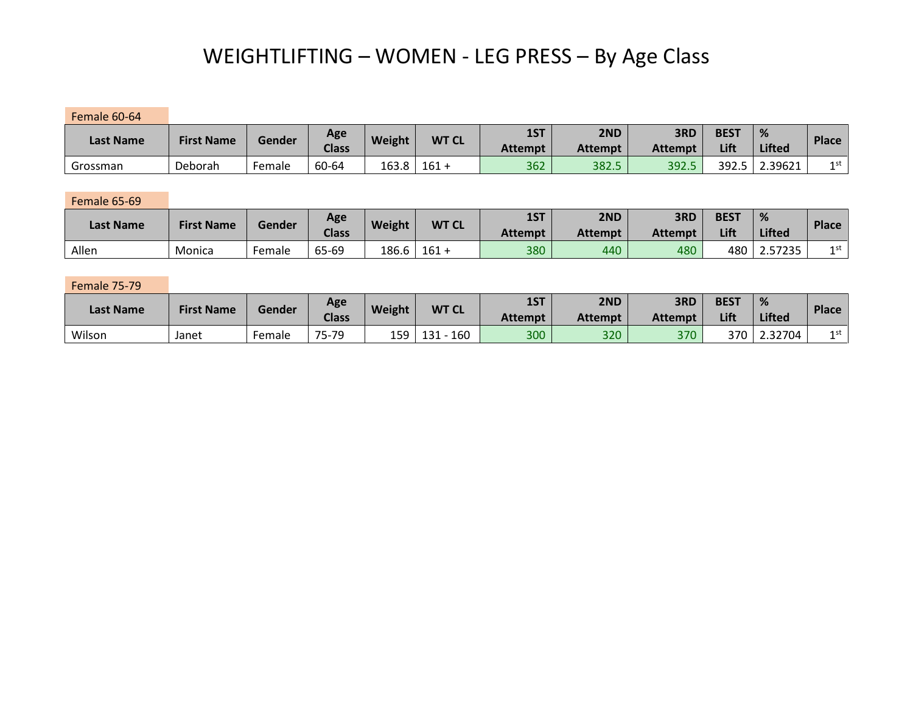# WEIGHTLIFTING – WOMEN - LEG PRESS – By Age Class

Female 60-64

| <b>Last Name</b> | <b>First Name</b> | Gender | Age<br><b>Class</b> | <b>Weight</b> | <b>WT CL</b> | 1ST<br>Attempt | 2ND<br><b>Attempt</b> | 3RD<br><b>Attempt</b> | <b>BEST</b><br>Lift | %<br><b>Lifted</b> | <b>Place</b> |
|------------------|-------------------|--------|---------------------|---------------|--------------|----------------|-----------------------|-----------------------|---------------------|--------------------|--------------|
| Grossman         | Deborah           | Female | 60-64               | 163.8         | 161          | 362            | 382.5                 | 392.5                 | 392.5               | 2.39621            | 1 st         |

Female 65-69

| <b>Last Name</b> | <b>First Name</b> | Gender | Age<br><b>Class</b> | <b>Weight</b> | <b>WT CL</b> | 1ST<br>Attempt | 2ND<br><b>Attempt</b> | 3RD<br><b>Attempt</b> | <b>BEST</b><br>Lift | <b>Lifted</b> | Place |
|------------------|-------------------|--------|---------------------|---------------|--------------|----------------|-----------------------|-----------------------|---------------------|---------------|-------|
| Allen            | Monica            | Female | 65-69               | 186.6         | $161 +$      | 380            | 440                   | 480                   | 480                 | 2.57235       | 1 st  |

Female 75-79

| <b>Last Name</b> | <b>First Name</b> | Gender | Age<br><b>Class</b> | <b>Weight</b> | <b>WT CL</b> | 1ST<br>Attempt | 2ND<br><b>Attempt</b> | 3RD<br><b>Attempt</b> | <b>BEST</b><br>Lift | 70<br><b>Lifted</b> | <b>Place</b> |
|------------------|-------------------|--------|---------------------|---------------|--------------|----------------|-----------------------|-----------------------|---------------------|---------------------|--------------|
| Wilson           | Janet             | Female | 75-79<br>ັ          | 159           | 160<br>131   | 300            | 320                   | 370                   | 370                 | 2.32704             | 1 st         |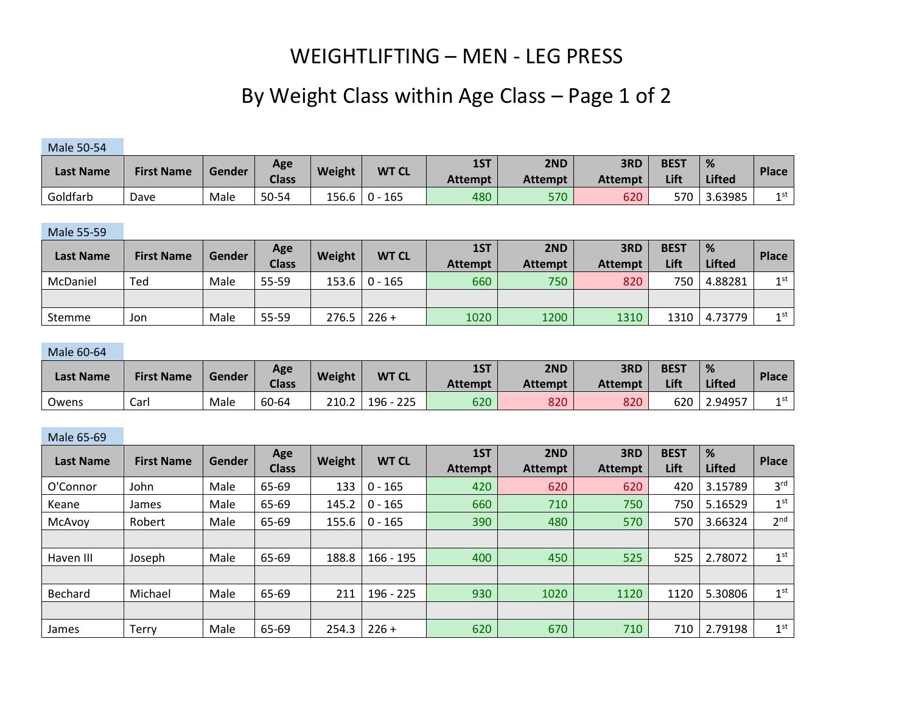### WEIGHTLIFTING – MEN - LEG PRESS

## By Weight Class within Age Class – Page 1 of 2

### Male 50-54

|                  | <b>First Name</b> | Gender | Age<br><b>Class</b> | Weight | <b>WT CL</b> | 1ST            | 2ND            | 3RD            | <b>BEST</b> | %             | <b>Place</b> |
|------------------|-------------------|--------|---------------------|--------|--------------|----------------|----------------|----------------|-------------|---------------|--------------|
| <b>Last Name</b> |                   |        |                     |        |              | <b>Attempt</b> | <b>Attempt</b> | <b>Attempt</b> | Lift        | <b>Lifted</b> |              |
| Goldfarb         | Dave              | Male   | 50-54               | 156.6  | 165<br>$0 -$ | 480            | 570            | 620            | 570         | 3.63985       | 1 st         |

#### Male 55-59

| <b>Last Name</b> | <b>First Name</b> | Gender | Age<br><b>Class</b> | Weight | <b>WT CL</b>      | 1ST<br><b>Attempt</b> | 2ND<br><b>Attempt</b> | 3RD<br><b>Attempt</b> | <b>BEST</b><br>Lift | %<br><b>Lifted</b> | <b>Place</b> |
|------------------|-------------------|--------|---------------------|--------|-------------------|-----------------------|-----------------------|-----------------------|---------------------|--------------------|--------------|
| McDaniel         | Ted               | Male   | 55-59               |        | $153.6$   0 - 165 | 660                   | 750                   | 820                   | 750                 | 4.88281            | 1st          |
|                  |                   |        |                     |        |                   |                       |                       |                       |                     |                    |              |
| Stemme           | Jon               | Male   | 55-59               | 276.5  | $226 +$           | 1020                  | 1200                  | 1310                  | 1310                | 4.73779            | $1$ st       |

#### Male 60-64

|                  | <b>First Name</b> | Gender | Age          | <b>WT CL</b><br>Weight |                | 1ST            | 2ND            | 3RD            | <b>BEST</b> | %             | <b>Place</b> |
|------------------|-------------------|--------|--------------|------------------------|----------------|----------------|----------------|----------------|-------------|---------------|--------------|
| <b>Last Name</b> |                   |        | <b>Class</b> |                        |                | <b>Attempt</b> | <b>Attempt</b> | <b>Attempt</b> | Lift        | <b>Lifted</b> |              |
| Owens            | Carl              | Male   | 60-64        | 210.2                  | $196 -$<br>225 | 620            | 820            | 820            | 620         | 2.94957       | 1 st         |

#### Male 65-69

| <b>Last Name</b> | <b>First Name</b> | Gender | Age          | Weight | <b>WT CL</b> | 1ST            | 2ND            | 3RD            | <b>BEST</b> | %             | <b>Place</b>    |
|------------------|-------------------|--------|--------------|--------|--------------|----------------|----------------|----------------|-------------|---------------|-----------------|
|                  |                   |        | <b>Class</b> |        |              | <b>Attempt</b> | <b>Attempt</b> | <b>Attempt</b> | Lift        | <b>Lifted</b> |                 |
| O'Connor         | John              | Male   | 65-69        | 133    | $0 - 165$    | 420            | 620            | 620            | 420         | 3.15789       | 3 <sup>rd</sup> |
| Keane            | James             | Male   | 65-69        | 145.2  | $0 - 165$    | 660            | 710            | 750            | 750         | 5.16529       | 1 <sup>st</sup> |
| McAvoy           | Robert            | Male   | 65-69        | 155.6  | $0 - 165$    | 390            | 480            | 570            | 570         | 3.66324       | 2 <sup>nd</sup> |
|                  |                   |        |              |        |              |                |                |                |             |               |                 |
| Haven III        | Joseph            | Male   | 65-69        | 188.8  | $166 - 195$  | 400            | 450            | 525            | 525         | 2.78072       | 1 <sup>st</sup> |
|                  |                   |        |              |        |              |                |                |                |             |               |                 |
| <b>Bechard</b>   | Michael           | Male   | 65-69        | 211    | $196 - 225$  | 930            | 1020           | 1120           | 1120        | 5.30806       | 1 <sup>st</sup> |
|                  |                   |        |              |        |              |                |                |                |             |               |                 |
| James            | Terry             | Male   | 65-69        | 254.3  | $226 +$      | 620            | 670            | 710            | 710         | 2.79198       | 1 <sup>st</sup> |